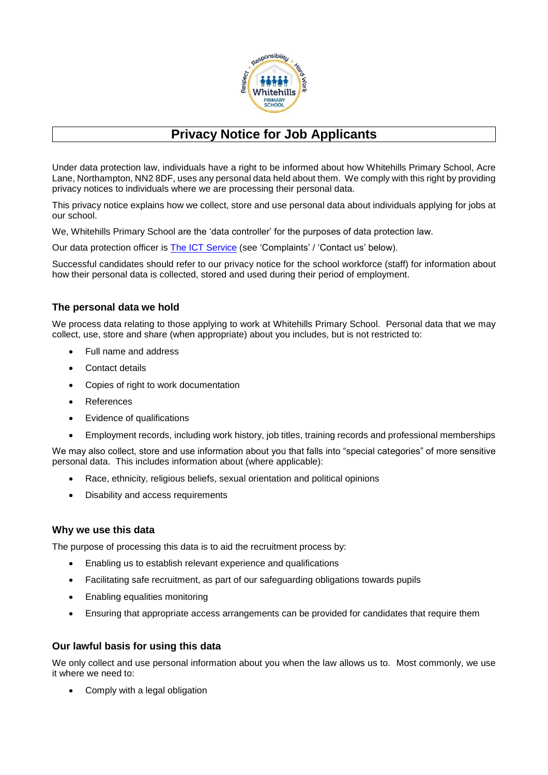

# **Privacy Notice for Job Applicants**

Under data protection law, individuals have a right to be informed about how Whitehills Primary School, Acre Lane, Northampton, NN2 8DF, uses any personal data held about them. We comply with this right by providing privacy notices to individuals where we are processing their personal data.

This privacy notice explains how we collect, store and use personal data about individuals applying for jobs at our school.

We, Whitehills Primary School are the 'data controller' for the purposes of data protection law.

Our data protection officer is [The ICT Service](https://theictservice.org.uk/service/gdpr-dpo-service/) (see 'Complaints' / 'Contact us' below).

Successful candidates should refer to our privacy notice for the school workforce (staff) for information about how their personal data is collected, stored and used during their period of employment.

## **The personal data we hold**

We process data relating to those applying to work at Whitehills Primary School. Personal data that we may collect, use, store and share (when appropriate) about you includes, but is not restricted to:

- Full name and address
- Contact details
- Copies of right to work documentation
- References
- Evidence of qualifications
- Employment records, including work history, job titles, training records and professional memberships

We may also collect, store and use information about you that falls into "special categories" of more sensitive personal data. This includes information about (where applicable):

- Race, ethnicity, religious beliefs, sexual orientation and political opinions
- Disability and access requirements

### **Why we use this data**

The purpose of processing this data is to aid the recruitment process by:

- Enabling us to establish relevant experience and qualifications
- Facilitating safe recruitment, as part of our safeguarding obligations towards pupils
- Enabling equalities monitoring
- Ensuring that appropriate access arrangements can be provided for candidates that require them

### **Our lawful basis for using this data**

We only collect and use personal information about you when the law allows us to. Most commonly, we use it where we need to:

• Comply with a legal obligation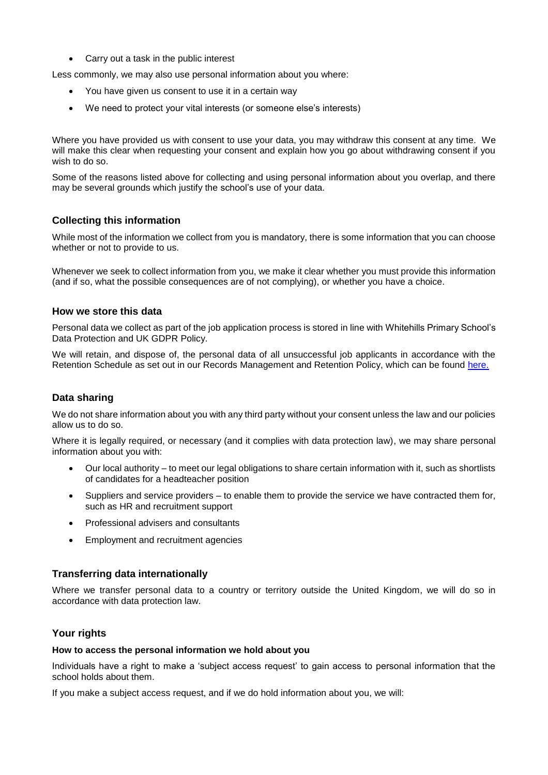• Carry out a task in the public interest

Less commonly, we may also use personal information about you where:

- You have given us consent to use it in a certain way
- We need to protect your vital interests (or someone else's interests)

Where you have provided us with consent to use your data, you may withdraw this consent at any time. We will make this clear when requesting your consent and explain how you go about withdrawing consent if you wish to do so.

Some of the reasons listed above for collecting and using personal information about you overlap, and there may be several grounds which justify the school's use of your data.

## **Collecting this information**

While most of the information we collect from you is mandatory, there is some information that you can choose whether or not to provide to us.

Whenever we seek to collect information from you, we make it clear whether you must provide this information (and if so, what the possible consequences are of not complying), or whether you have a choice.

#### **How we store this data**

Personal data we collect as part of the job application process is stored in line with Whitehills Primary School's Data Protection and UK GDPR Policy.

We will retain, and dispose of, the personal data of all unsuccessful job applicants in accordance with the Retention Schedule as set out in our Records Management and Retention Policy, which can be found [here.](http://www.whitehillsprimary.northants.sch.uk/wp-content/uploads2/2020/10/Records-Management-and-Retention-Policy-Feb-2020.pdf)

### **Data sharing**

We do not share information about you with any third party without your consent unless the law and our policies allow us to do so.

Where it is legally required, or necessary (and it complies with data protection law), we may share personal information about you with:

- Our local authority to meet our legal obligations to share certain information with it, such as shortlists of candidates for a headteacher position
- Suppliers and service providers to enable them to provide the service we have contracted them for, such as HR and recruitment support
- Professional advisers and consultants
- Employment and recruitment agencies

### **Transferring data internationally**

Where we transfer personal data to a country or territory outside the United Kingdom, we will do so in accordance with data protection law.

### **Your rights**

#### **How to access the personal information we hold about you**

Individuals have a right to make a 'subject access request' to gain access to personal information that the school holds about them.

If you make a subject access request, and if we do hold information about you, we will: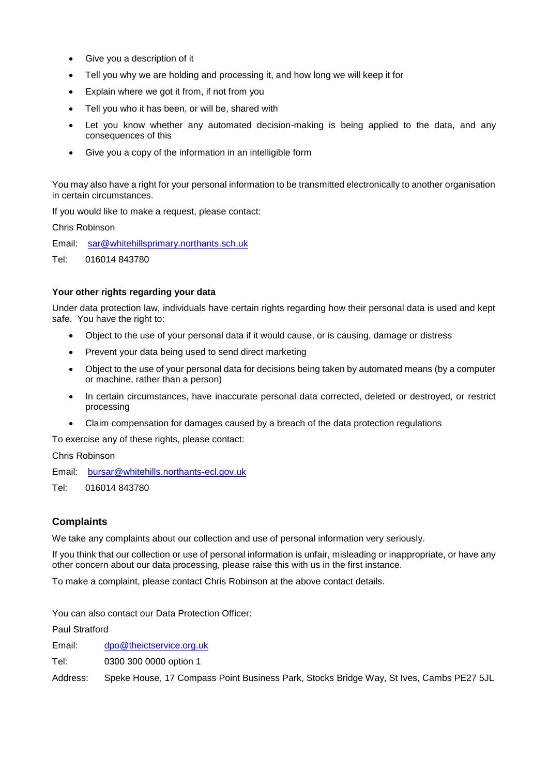- Give you a description of it
- Tell you why we are holding and processing it, and how long we will keep it for
- Explain where we got it from, if not from you
- Tell you who it has been, or will be, shared with
- Let you know whether any automated decision-making is being applied to the data, and any consequences of this
- Give you a copy of the information in an intelligible form

You may also have a right for your personal information to be transmitted electronically to another organisation in certain circumstances.

If you would like to make a request, please contact:

Chris Robinson

Email: [sar@whitehillsprimary.northants.sch.uk](mailto:sar@whitehillsprimary.northants.sch.uk)

Tel: 016014 843780

#### **Your other rights regarding your data**

Under data protection law, individuals have certain rights regarding how their personal data is used and kept safe. You have the right to:

- Object to the use of your personal data if it would cause, or is causing, damage or distress
- Prevent your data being used to send direct marketing
- Object to the use of your personal data for decisions being taken by automated means (by a computer or machine, rather than a person)
- In certain circumstances, have inaccurate personal data corrected, deleted or destroyed, or restrict processing
- Claim compensation for damages caused by a breach of the data protection regulations

To exercise any of these rights, please contact:

Chris Robinson

Email: [bursar@whitehills.northants-ecl.gov.uk](mailto:bursar@whitehills.northants-ecl.gov.uk)

Tel: 016014 843780

# **Complaints**

We take any complaints about our collection and use of personal information very seriously.

If you think that our collection or use of personal information is unfair, misleading or inappropriate, or have any other concern about our data processing, please raise this with us in the first instance.

To make a complaint, please contact Chris Robinson at the above contact details.

You can also contact our Data Protection Officer:

Paul Stratford

Email: [dpo@theictservice.org.uk](mailto:dpo@theictservice.org.uk)

Tel: 0300 300 0000 option 1

Address: Speke House, 17 Compass Point Business Park, Stocks Bridge Way, St Ives, Cambs PE27 5JL